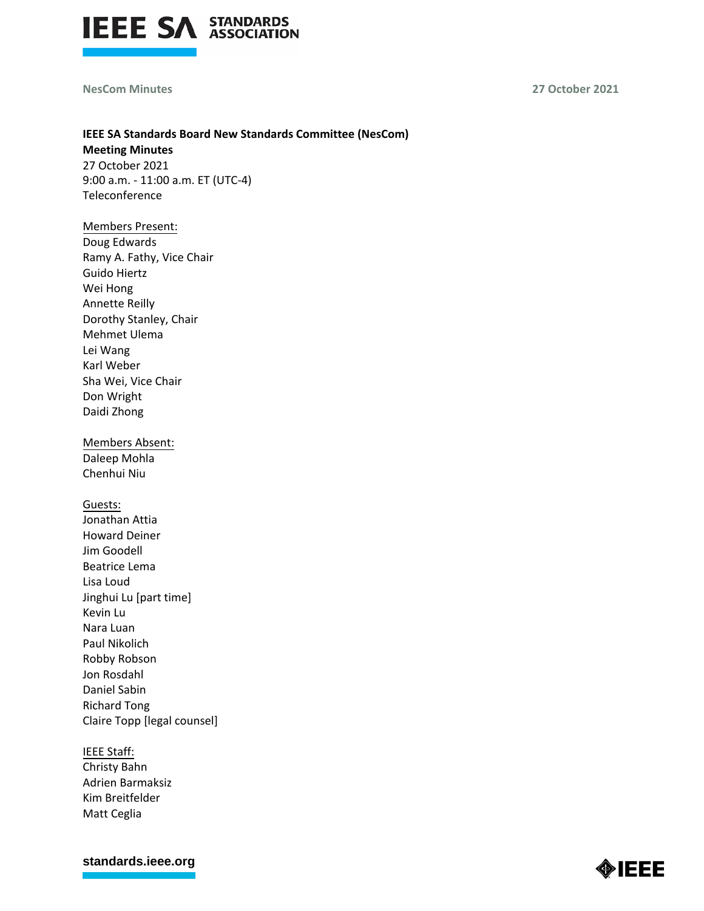

### **NesCom Minutes 27 October 2021**

# **IEEE SA Standards Board New Standards Committee (NesCom)**

**Meeting Minutes** 27 October 2021 9:00 a.m. - 11:00 a.m. ET (UTC-4) Teleconference

# Members Present:

Doug Edwards Ramy A. Fathy, Vice Chair Guido Hiertz Wei Hong Annette Reilly Dorothy Stanley, Chair Mehmet Ulema Lei Wang Karl Weber Sha Wei, Vice Chair Don Wright Daidi Zhong

Members Absent: Daleep Mohla Chenhui Niu

# Guests:

Jonathan Attia Howard Deiner Jim Goodell Beatrice Lema Lisa Loud Jinghui Lu [part time] Kevin Lu Nara Luan Paul Nikolich Robby Robson Jon Rosdahl Daniel Sabin Richard Tong Claire Topp [legal counsel]

#### IEEE Staff:

Christy Bahn Adrien Barmaksiz Kim Breitfelder Matt Ceglia

**[standards.ieee.org](http://standards.ieee.org/)**

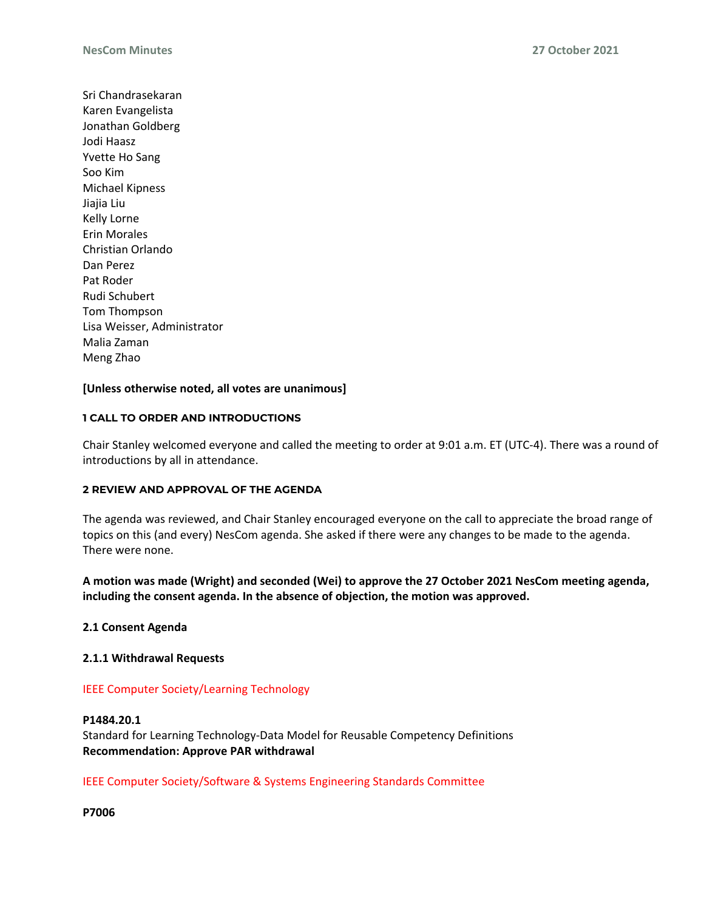Sri Chandrasekaran Karen Evangelista Jonathan Goldberg Jodi Haasz Yvette Ho Sang Soo Kim Michael Kipness Jiajia Liu Kelly Lorne Erin Morales Christian Orlando Dan Perez Pat Roder Rudi Schubert Tom Thompson Lisa Weisser, Administrator Malia Zaman Meng Zhao

# **[Unless otherwise noted, all votes are unanimous]**

# **1 CALL TO ORDER AND INTRODUCTIONS**

Chair Stanley welcomed everyone and called the meeting to order at 9:01 a.m. ET (UTC-4). There was a round of introductions by all in attendance.

### **2 REVIEW AND APPROVAL OF THE AGENDA**

The agenda was reviewed, and Chair Stanley encouraged everyone on the call to appreciate the broad range of topics on this (and every) NesCom agenda. She asked if there were any changes to be made to the agenda. There were none.

**A motion was made (Wright) and seconded (Wei) to approve the 27 October 2021 NesCom meeting agenda, including the consent agenda. In the absence of objection, the motion was approved.**

### **2.1 Consent Agenda**

### **2.1.1 Withdrawal Requests**

### IEEE Computer Society/Learning Technology

### **P1484.20.1**

Standard for Learning Technology-Data Model for Reusable Competency Definitions **Recommendation: Approve PAR withdrawal**

### IEEE Computer Society/Software & Systems Engineering Standards Committee

**P7006**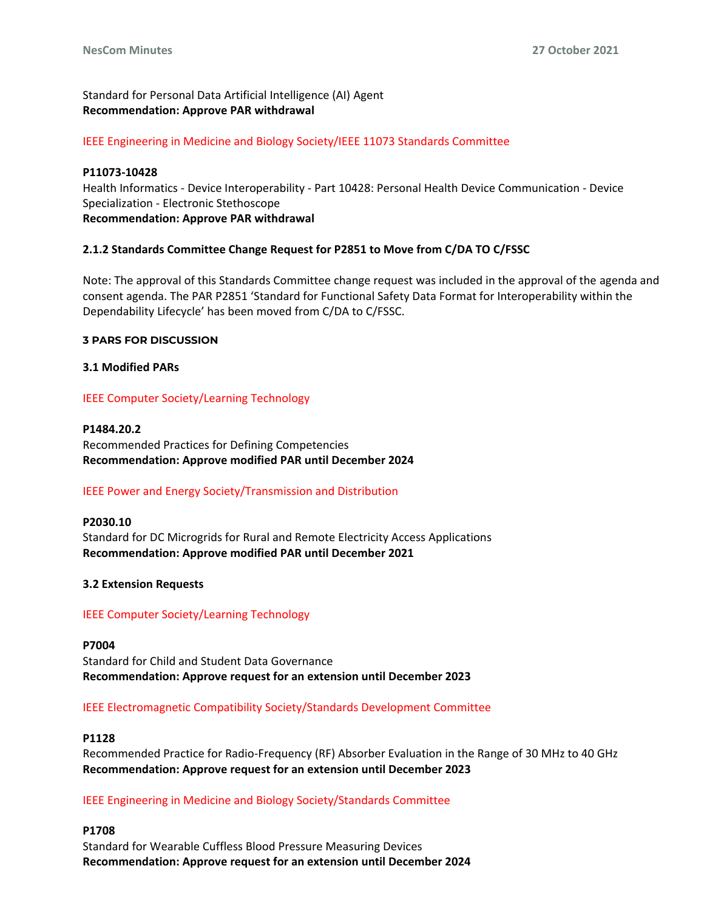Standard for Personal Data Artificial Intelligence (AI) Agent **Recommendation: Approve PAR withdrawal**

IEEE Engineering in Medicine and Biology Society/IEEE 11073 Standards Committee

#### **P11073-10428**

Health Informatics - Device Interoperability - Part 10428: Personal Health Device Communication - Device Specialization - Electronic Stethoscope **Recommendation: Approve PAR withdrawal**

# **2.1.2 Standards Committee Change Request for P2851 to Move from C/DA TO C/FSSC**

Note: The approval of this Standards Committee change request was included in the approval of the agenda and consent agenda. The PAR P2851 'Standard for Functional Safety Data Format for Interoperability within the Dependability Lifecycle' has been moved from C/DA to C/FSSC.

#### **3 PARS FOR DISCUSSION**

### **3.1 Modified PARs**

# IEEE Computer Society/Learning Technology

**P1484.20.2** Recommended Practices for Defining Competencies **Recommendation: Approve modified PAR until December 2024**

# IEEE Power and Energy Society/Transmission and Distribution

**P2030.10** Standard for DC Microgrids for Rural and Remote Electricity Access Applications **Recommendation: Approve modified PAR until December 2021**

### **3.2 Extension Requests**

### IEEE Computer Society/Learning Technology

**P7004** Standard for Child and Student Data Governance **Recommendation: Approve request for an extension until December 2023**

### IEEE Electromagnetic Compatibility Society/Standards Development Committee

### **P1128**

Recommended Practice for Radio-Frequency (RF) Absorber Evaluation in the Range of 30 MHz to 40 GHz **Recommendation: Approve request for an extension until December 2023**

### IEEE Engineering in Medicine and Biology Society/Standards Committee

**P1708** Standard for Wearable Cuffless Blood Pressure Measuring Devices **Recommendation: Approve request for an extension until December 2024**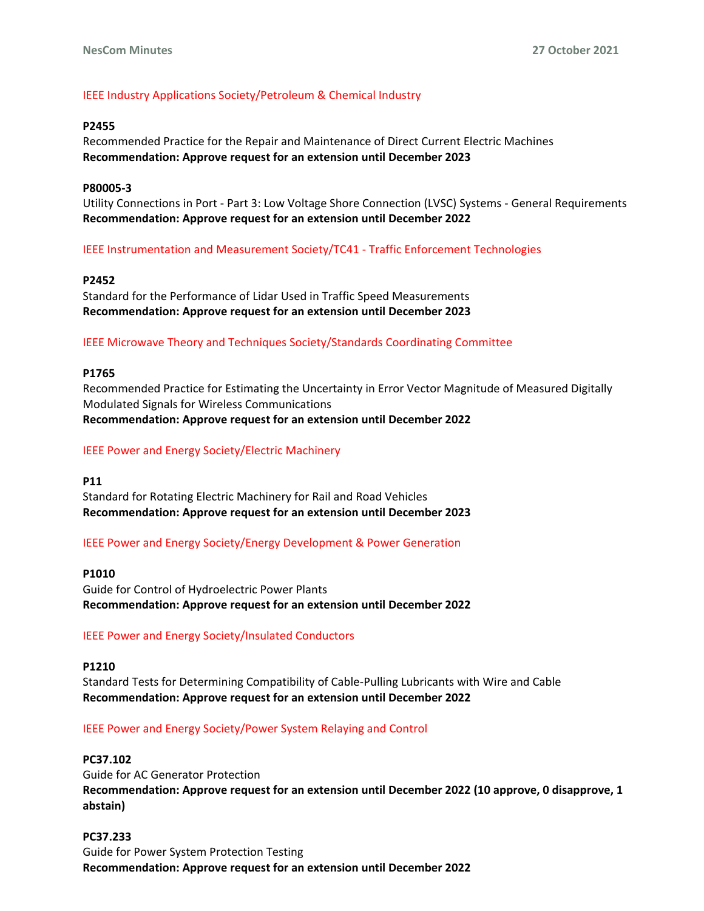# IEEE Industry Applications Society/Petroleum & Chemical Industry

### **P2455**

Recommended Practice for the Repair and Maintenance of Direct Current Electric Machines **Recommendation: Approve request for an extension until December 2023**

#### **P80005-3**

Utility Connections in Port - Part 3: Low Voltage Shore Connection (LVSC) Systems - General Requirements **Recommendation: Approve request for an extension until December 2022**

IEEE Instrumentation and Measurement Society/TC41 - Traffic Enforcement Technologies

#### **P2452**

Standard for the Performance of Lidar Used in Traffic Speed Measurements **Recommendation: Approve request for an extension until December 2023**

#### IEEE Microwave Theory and Techniques Society/Standards Coordinating Committee

#### **P1765**

Recommended Practice for Estimating the Uncertainty in Error Vector Magnitude of Measured Digitally Modulated Signals for Wireless Communications **Recommendation: Approve request for an extension until December 2022**

#### IEEE Power and Energy Society/Electric Machinery

#### **P11**

Standard for Rotating Electric Machinery for Rail and Road Vehicles **Recommendation: Approve request for an extension until December 2023**

IEEE Power and Energy Society/Energy Development & Power Generation

#### **P1010**

Guide for Control of Hydroelectric Power Plants **Recommendation: Approve request for an extension until December 2022**

### IEEE Power and Energy Society/Insulated Conductors

#### **P1210**

Standard Tests for Determining Compatibility of Cable-Pulling Lubricants with Wire and Cable **Recommendation: Approve request for an extension until December 2022**

### IEEE Power and Energy Society/Power System Relaying and Control

### **PC37.102**

Guide for AC Generator Protection **Recommendation: Approve request for an extension until December 2022 (10 approve, 0 disapprove, 1 abstain)**

**PC37.233** Guide for Power System Protection Testing **Recommendation: Approve request for an extension until December 2022**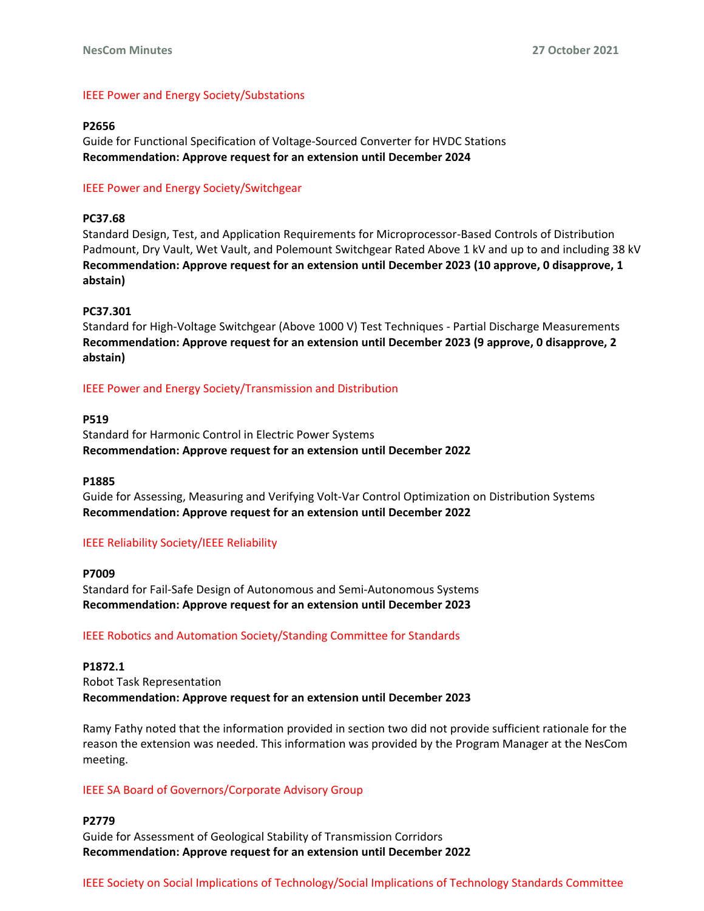# IEEE Power and Energy Society/Substations

#### **P2656**

Guide for Functional Specification of Voltage-Sourced Converter for HVDC Stations **Recommendation: Approve request for an extension until December 2024**

# IEEE Power and Energy Society/Switchgear

#### **PC37.68**

Standard Design, Test, and Application Requirements for Microprocessor-Based Controls of Distribution Padmount, Dry Vault, Wet Vault, and Polemount Switchgear Rated Above 1 kV and up to and including 38 kV **Recommendation: Approve request for an extension until December 2023 (10 approve, 0 disapprove, 1 abstain)**

#### **PC37.301**

Standard for High-Voltage Switchgear (Above 1000 V) Test Techniques - Partial Discharge Measurements **Recommendation: Approve request for an extension until December 2023 (9 approve, 0 disapprove, 2 abstain)**

### IEEE Power and Energy Society/Transmission and Distribution

#### **P519**

Standard for Harmonic Control in Electric Power Systems **Recommendation: Approve request for an extension until December 2022**

#### **P1885**

Guide for Assessing, Measuring and Verifying Volt-Var Control Optimization on Distribution Systems **Recommendation: Approve request for an extension until December 2022**

### IEEE Reliability Society/IEEE Reliability

#### **P7009**

Standard for Fail-Safe Design of Autonomous and Semi-Autonomous Systems **Recommendation: Approve request for an extension until December 2023**

### IEEE Robotics and Automation Society/Standing Committee for Standards

### **P1872.1**

Robot Task Representation **Recommendation: Approve request for an extension until December 2023**

Ramy Fathy noted that the information provided in section two did not provide sufficient rationale for the reason the extension was needed. This information was provided by the Program Manager at the NesCom meeting.

### IEEE SA Board of Governors/Corporate Advisory Group

# **P2779** Guide for Assessment of Geological Stability of Transmission Corridors **Recommendation: Approve request for an extension until December 2022**

IEEE Society on Social Implications of Technology/Social Implications of Technology Standards Committee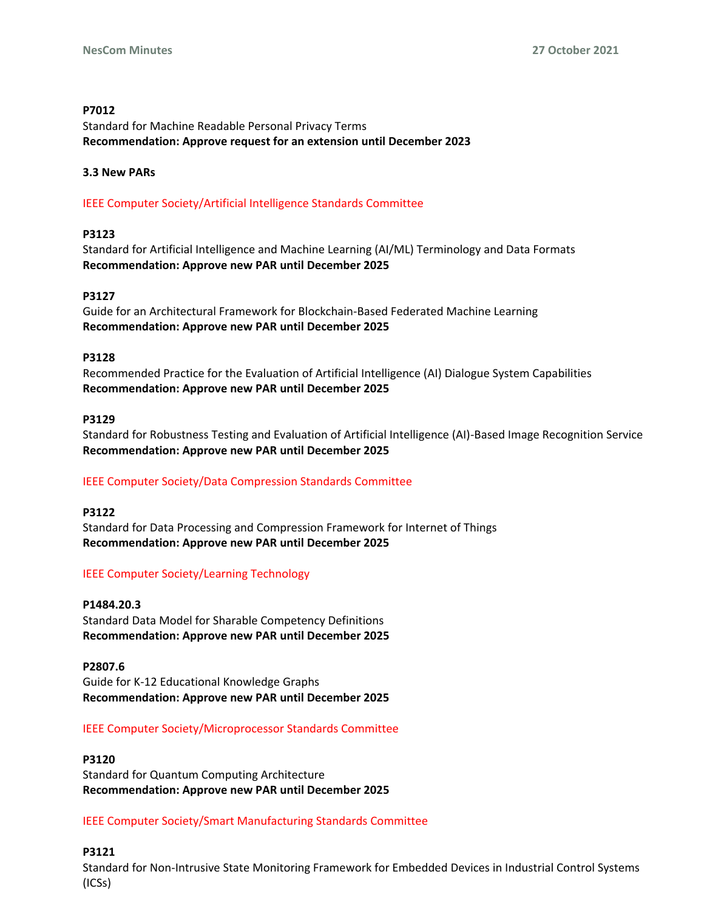### **P7012**

Standard for Machine Readable Personal Privacy Terms **Recommendation: Approve request for an extension until December 2023**

#### **3.3 New PARs**

IEEE Computer Society/Artificial Intelligence Standards Committee

#### **P3123**

Standard for Artificial Intelligence and Machine Learning (AI/ML) Terminology and Data Formats **Recommendation: Approve new PAR until December 2025**

#### **P3127**

Guide for an Architectural Framework for Blockchain-Based Federated Machine Learning **Recommendation: Approve new PAR until December 2025**

#### **P3128**

Recommended Practice for the Evaluation of Artificial Intelligence (AI) Dialogue System Capabilities **Recommendation: Approve new PAR until December 2025**

#### **P3129**

Standard for Robustness Testing and Evaluation of Artificial Intelligence (AI)-Based Image Recognition Service **Recommendation: Approve new PAR until December 2025**

### IEEE Computer Society/Data Compression Standards Committee

#### **P3122**

Standard for Data Processing and Compression Framework for Internet of Things **Recommendation: Approve new PAR until December 2025**

### IEEE Computer Society/Learning Technology

#### **P1484.20.3**

Standard Data Model for Sharable Competency Definitions **Recommendation: Approve new PAR until December 2025**

**P2807.6**

Guide for K-12 Educational Knowledge Graphs **Recommendation: Approve new PAR until December 2025**

### IEEE Computer Society/Microprocessor Standards Committee

# **P3120** Standard for Quantum Computing Architecture **Recommendation: Approve new PAR until December 2025**

### IEEE Computer Society/Smart Manufacturing Standards Committee

### **P3121**

Standard for Non-Intrusive State Monitoring Framework for Embedded Devices in Industrial Control Systems (ICSs)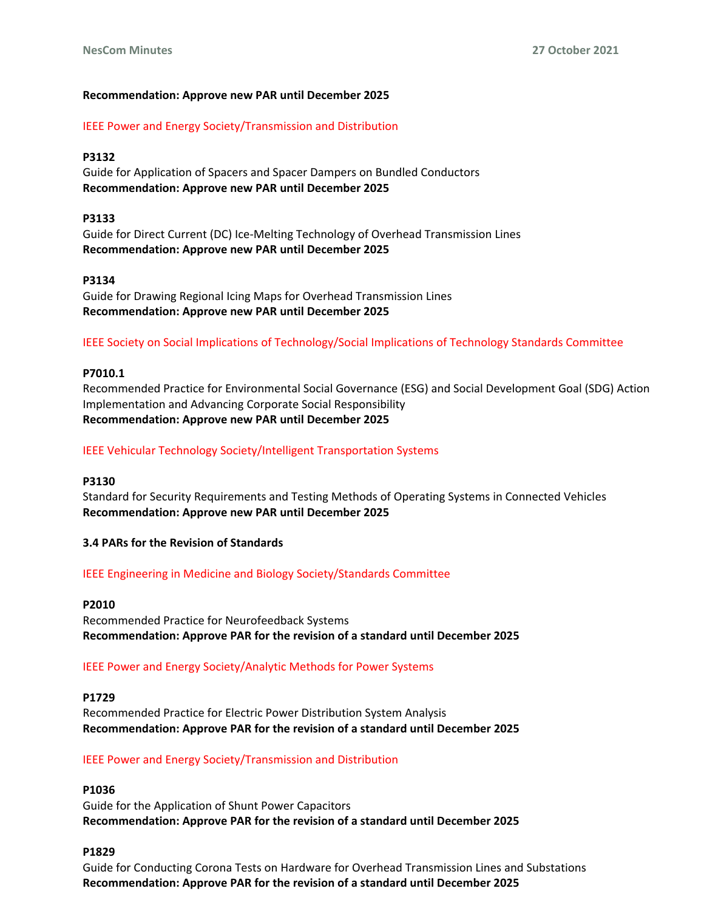# **Recommendation: Approve new PAR until December 2025**

IEEE Power and Energy Society/Transmission and Distribution

# **P3132**

Guide for Application of Spacers and Spacer Dampers on Bundled Conductors **Recommendation: Approve new PAR until December 2025**

### **P3133**

Guide for Direct Current (DC) Ice-Melting Technology of Overhead Transmission Lines **Recommendation: Approve new PAR until December 2025**

### **P3134**

Guide for Drawing Regional Icing Maps for Overhead Transmission Lines **Recommendation: Approve new PAR until December 2025**

IEEE Society on Social Implications of Technology/Social Implications of Technology Standards Committee

### **P7010.1**

Recommended Practice for Environmental Social Governance (ESG) and Social Development Goal (SDG) Action Implementation and Advancing Corporate Social Responsibility **Recommendation: Approve new PAR until December 2025**

### IEEE Vehicular Technology Society/Intelligent Transportation Systems

### **P3130**

Standard for Security Requirements and Testing Methods of Operating Systems in Connected Vehicles **Recommendation: Approve new PAR until December 2025**

### **3.4 PARs for the Revision of Standards**

IEEE Engineering in Medicine and Biology Society/Standards Committee

#### **P2010**

Recommended Practice for Neurofeedback Systems **Recommendation: Approve PAR for the revision of a standard until December 2025**

### IEEE Power and Energy Society/Analytic Methods for Power Systems

#### **P1729**

Recommended Practice for Electric Power Distribution System Analysis **Recommendation: Approve PAR for the revision of a standard until December 2025**

### IEEE Power and Energy Society/Transmission and Distribution

# **P1036**

Guide for the Application of Shunt Power Capacitors **Recommendation: Approve PAR for the revision of a standard until December 2025**

#### **P1829**

Guide for Conducting Corona Tests on Hardware for Overhead Transmission Lines and Substations **Recommendation: Approve PAR for the revision of a standard until December 2025**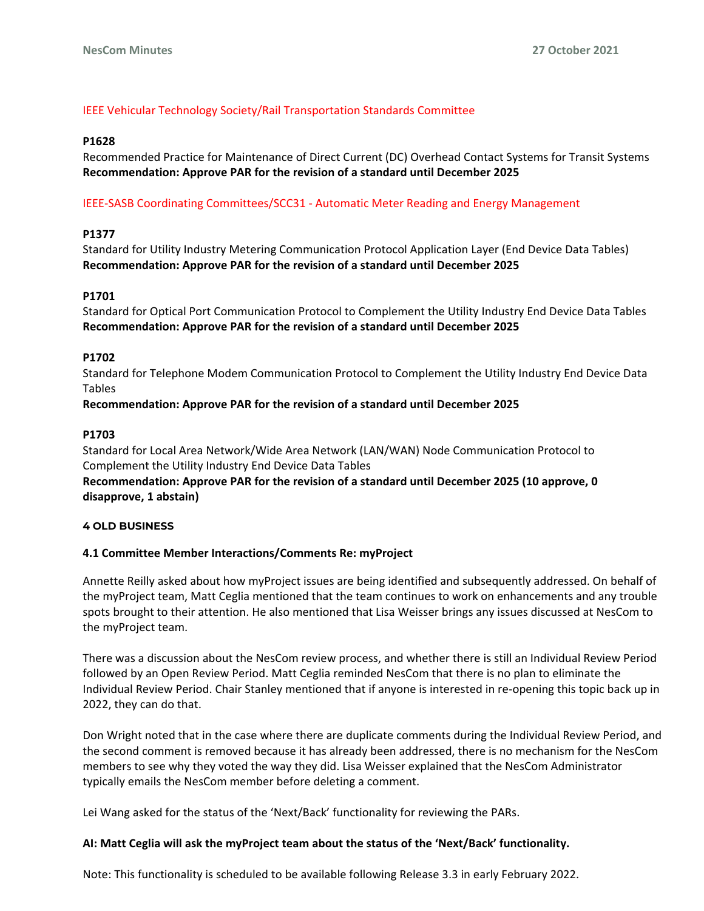# IEEE Vehicular Technology Society/Rail Transportation Standards Committee

# **P1628**

Recommended Practice for Maintenance of Direct Current (DC) Overhead Contact Systems for Transit Systems **Recommendation: Approve PAR for the revision of a standard until December 2025**

# IEEE-SASB Coordinating Committees/SCC31 - Automatic Meter Reading and Energy Management

# **P1377**

Standard for Utility Industry Metering Communication Protocol Application Layer (End Device Data Tables) **Recommendation: Approve PAR for the revision of a standard until December 2025**

# **P1701**

Standard for Optical Port Communication Protocol to Complement the Utility Industry End Device Data Tables **Recommendation: Approve PAR for the revision of a standard until December 2025**

# **P1702**

Standard for Telephone Modem Communication Protocol to Complement the Utility Industry End Device Data Tables

**Recommendation: Approve PAR for the revision of a standard until December 2025**

# **P1703**

Standard for Local Area Network/Wide Area Network (LAN/WAN) Node Communication Protocol to Complement the Utility Industry End Device Data Tables

**Recommendation: Approve PAR for the revision of a standard until December 2025 (10 approve, 0 disapprove, 1 abstain)**

### **4 OLD BUSINESS**

# **4.1 Committee Member Interactions/Comments Re: myProject**

Annette Reilly asked about how myProject issues are being identified and subsequently addressed. On behalf of the myProject team, Matt Ceglia mentioned that the team continues to work on enhancements and any trouble spots brought to their attention. He also mentioned that Lisa Weisser brings any issues discussed at NesCom to the myProject team.

There was a discussion about the NesCom review process, and whether there is still an Individual Review Period followed by an Open Review Period. Matt Ceglia reminded NesCom that there is no plan to eliminate the Individual Review Period. Chair Stanley mentioned that if anyone is interested in re-opening this topic back up in 2022, they can do that.

Don Wright noted that in the case where there are duplicate comments during the Individual Review Period, and the second comment is removed because it has already been addressed, there is no mechanism for the NesCom members to see why they voted the way they did. Lisa Weisser explained that the NesCom Administrator typically emails the NesCom member before deleting a comment.

Lei Wang asked for the status of the 'Next/Back' functionality for reviewing the PARs.

# **AI: Matt Ceglia will ask the myProject team about the status of the 'Next/Back' functionality.**

Note: This functionality is scheduled to be available following Release 3.3 in early February 2022.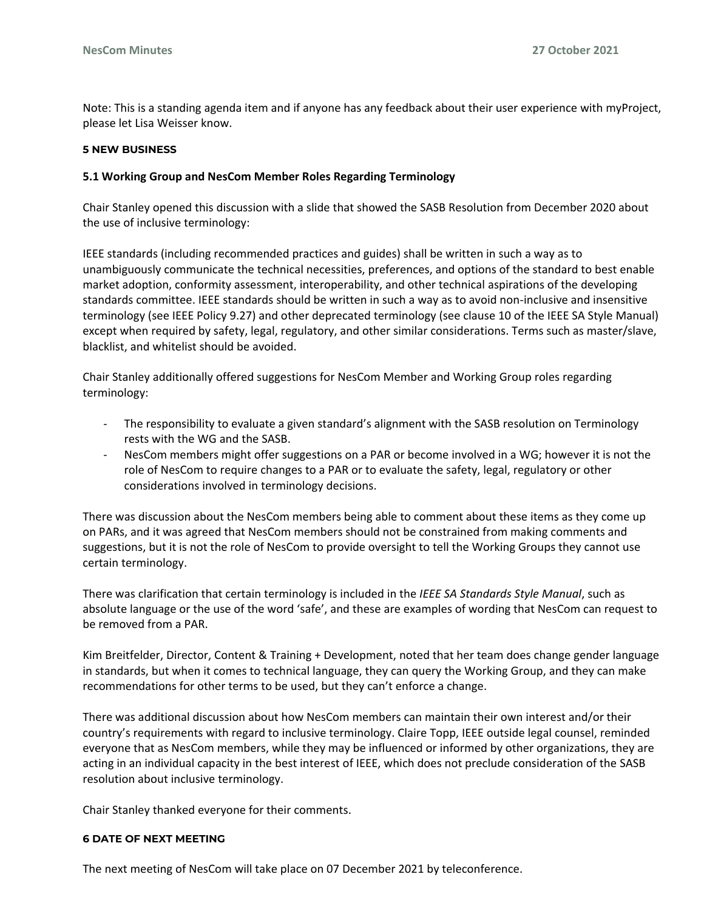Note: This is a standing agenda item and if anyone has any feedback about their user experience with myProject, please let Lisa Weisser know.

### **5 NEW BUSINESS**

# **5.1 Working Group and NesCom Member Roles Regarding Terminology**

Chair Stanley opened this discussion with a slide that showed the SASB Resolution from December 2020 about the use of inclusive terminology:

IEEE standards (including recommended practices and guides) shall be written in such a way as to unambiguously communicate the technical necessities, preferences, and options of the standard to best enable market adoption, conformity assessment, interoperability, and other technical aspirations of the developing standards committee. IEEE standards should be written in such a way as to avoid non-inclusive and insensitive terminology (see IEEE Policy 9.27) and other deprecated terminology (see clause 10 of the IEEE SA Style Manual) except when required by safety, legal, regulatory, and other similar considerations. Terms such as master/slave, blacklist, and whitelist should be avoided.

Chair Stanley additionally offered suggestions for NesCom Member and Working Group roles regarding terminology:

- The responsibility to evaluate a given standard's alignment with the SASB resolution on Terminology rests with the WG and the SASB.
- NesCom members might offer suggestions on a PAR or become involved in a WG; however it is not the role of NesCom to require changes to a PAR or to evaluate the safety, legal, regulatory or other considerations involved in terminology decisions.

There was discussion about the NesCom members being able to comment about these items as they come up on PARs, and it was agreed that NesCom members should not be constrained from making comments and suggestions, but it is not the role of NesCom to provide oversight to tell the Working Groups they cannot use certain terminology.

There was clarification that certain terminology is included in the *IEEE SA Standards Style Manual*, such as absolute language or the use of the word 'safe', and these are examples of wording that NesCom can request to be removed from a PAR.

Kim Breitfelder, Director, Content & Training + Development, noted that her team does change gender language in standards, but when it comes to technical language, they can query the Working Group, and they can make recommendations for other terms to be used, but they can't enforce a change.

There was additional discussion about how NesCom members can maintain their own interest and/or their country's requirements with regard to inclusive terminology. Claire Topp, IEEE outside legal counsel, reminded everyone that as NesCom members, while they may be influenced or informed by other organizations, they are acting in an individual capacity in the best interest of IEEE, which does not preclude consideration of the SASB resolution about inclusive terminology.

Chair Stanley thanked everyone for their comments.

# **6 DATE OF NEXT MEETING**

The next meeting of NesCom will take place on 07 December 2021 by teleconference.